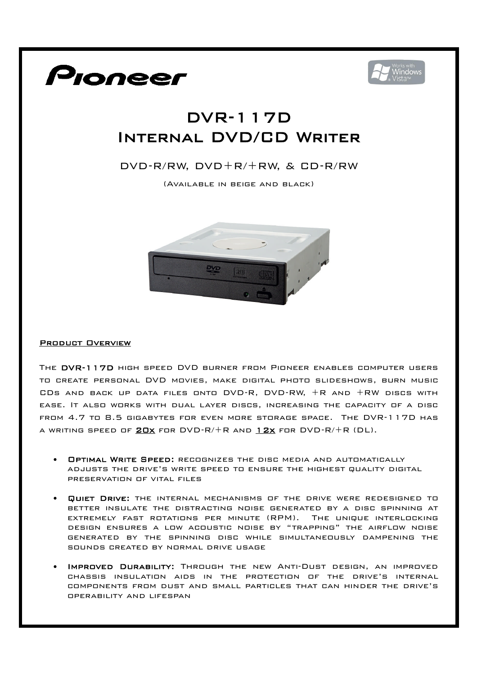



## DVR-117D Internal DVD/CD Writer

## DVD-R/RW, DVD+R/+RW, & CD-R/RW

(Available in beige and black)



## Product Overview

The DVR-117D high speed DVD burner from Pioneer enables computer users to create personal DVD movies, make digital photo slideshows, burn music CDs and back up data files onto DVD-R, DVD-RW, +R and +RW discs with ease. It also works with dual layer discs, increasing the capacity of a disc from 4.7 to 8.5 gigabytes for even more storage space. The DVR-117D has A WRITING SPEED OF **20x** FOR DVD-R/+R AND 12x FOR DVD-R/+R (DL).

- Optimal Write Speed: recognizes the disc media and automatically adjusts the drive's write speed to ensure the highest quality digital preservation of vital files
- Quiet Drive: the internal mechanisms of the drive were redesigned to better insulate the distracting noise generated by a disc spinning at extremely fast rotations per minute (RPM). The unique interlocking design ensures a low acoustic noise by "trapping" the airflow noise generated by the spinning disc while simultaneously dampening the sounds created by normal drive usage
- Improved Durability: Through the new Anti-Dust design, an improved chassis insulation aids in the protection of the drive's internal components from dust and small particles that can hinder the drive's operability and lifespan